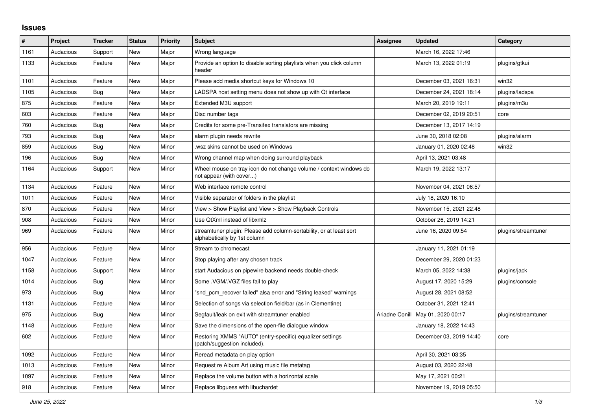## **Issues**

| #    | Project   | <b>Tracker</b> | <b>Status</b> | <b>Priority</b> | <b>Subject</b>                                                                                      | Assignee       | <b>Updated</b>          | Category            |
|------|-----------|----------------|---------------|-----------------|-----------------------------------------------------------------------------------------------------|----------------|-------------------------|---------------------|
| 1161 | Audacious | Support        | New           | Major           | Wrong language                                                                                      |                | March 16, 2022 17:46    |                     |
| 1133 | Audacious | Feature        | New           | Major           | Provide an option to disable sorting playlists when you click column<br>header                      |                | March 13, 2022 01:19    | plugins/gtkui       |
| 1101 | Audacious | Feature        | New           | Major           | Please add media shortcut keys for Windows 10                                                       |                | December 03, 2021 16:31 | win32               |
| 1105 | Audacious | Bug            | <b>New</b>    | Major           | LADSPA host setting menu does not show up with Qt interface                                         |                | December 24, 2021 18:14 | plugins/ladspa      |
| 875  | Audacious | Feature        | New           | Major           | Extended M3U support                                                                                |                | March 20, 2019 19:11    | plugins/m3u         |
| 603  | Audacious | Feature        | New           | Major           | Disc number tags                                                                                    |                | December 02, 2019 20:51 | core                |
| 760  | Audacious | <b>Bug</b>     | New           | Major           | Credits for some pre-Transifex translators are missing                                              |                | December 13, 2017 14:19 |                     |
| 793  | Audacious | Bug            | <b>New</b>    | Major           | alarm plugin needs rewrite                                                                          |                | June 30, 2018 02:08     | plugins/alarm       |
| 859  | Audacious | Bug            | New           | Minor           | wsz skins cannot be used on Windows                                                                 |                | January 01, 2020 02:48  | win32               |
| 196  | Audacious | Bug            | <b>New</b>    | Minor           | Wrong channel map when doing surround playback                                                      |                | April 13, 2021 03:48    |                     |
| 1164 | Audacious | Support        | New           | Minor           | Wheel mouse on tray icon do not change volume / context windows do<br>not appear (with cover)       |                | March 19, 2022 13:17    |                     |
| 1134 | Audacious | Feature        | <b>New</b>    | Minor           | Web interface remote control                                                                        |                | November 04, 2021 06:57 |                     |
| 1011 | Audacious | Feature        | <b>New</b>    | Minor           | Visible separator of folders in the playlist                                                        |                | July 18, 2020 16:10     |                     |
| 870  | Audacious | Feature        | New           | Minor           | View > Show Playlist and View > Show Playback Controls                                              |                | November 15, 2021 22:48 |                     |
| 908  | Audacious | Feature        | New           | Minor           | Use QtXml instead of libxml2                                                                        |                | October 26, 2019 14:21  |                     |
| 969  | Audacious | Feature        | New           | Minor           | streamtuner plugin: Please add column-sortability, or at least sort<br>alphabetically by 1st column |                | June 16, 2020 09:54     | plugins/streamtuner |
| 956  | Audacious | Feature        | New           | Minor           | Stream to chromecast                                                                                |                | January 11, 2021 01:19  |                     |
| 1047 | Audacious | Feature        | New           | Minor           | Stop playing after any chosen track                                                                 |                | December 29, 2020 01:23 |                     |
| 1158 | Audacious | Support        | <b>New</b>    | Minor           | start Audacious on pipewire backend needs double-check                                              |                | March 05, 2022 14:38    | plugins/jack        |
| 1014 | Audacious | Bug            | <b>New</b>    | Minor           | Some .VGM/.VGZ files fail to play                                                                   |                | August 17, 2020 15:29   | plugins/console     |
| 973  | Audacious | Bug            | New           | Minor           | "snd_pcm_recover failed" alsa error and "String leaked" warnings                                    |                | August 28, 2021 08:52   |                     |
| 1131 | Audacious | Feature        | <b>New</b>    | Minor           | Selection of songs via selection field/bar (as in Clementine)                                       |                | October 31, 2021 12:41  |                     |
| 975  | Audacious | <b>Bug</b>     | <b>New</b>    | Minor           | Segfault/leak on exit with streamtuner enabled                                                      | Ariadne Conill | May 01, 2020 00:17      | plugins/streamtuner |
| 1148 | Audacious | Feature        | New           | Minor           | Save the dimensions of the open-file dialogue window                                                |                | January 18, 2022 14:43  |                     |
| 602  | Audacious | Feature        | New           | Minor           | Restoring XMMS "AUTO" (entry-specific) equalizer settings<br>(patch/suggestion included).           |                | December 03, 2019 14:40 | core                |
| 1092 | Audacious | Feature        | New           | Minor           | Reread metadata on play option                                                                      |                | April 30, 2021 03:35    |                     |
| 1013 | Audacious | Feature        | <b>New</b>    | Minor           | Request re Album Art using music file metatag                                                       |                | August 03, 2020 22:48   |                     |
| 1097 | Audacious | Feature        | <b>New</b>    | Minor           | Replace the volume button with a horizontal scale                                                   |                | May 17, 2021 00:21      |                     |
| 918  | Audacious | Feature        | <b>New</b>    | Minor           | Replace libguess with libuchardet                                                                   |                | November 19, 2019 05:50 |                     |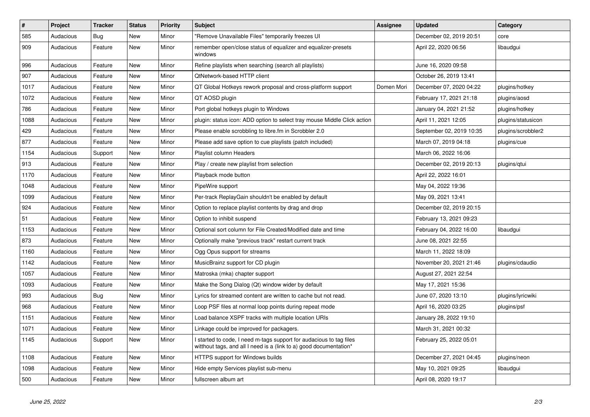| $\vert$ # | Project   | <b>Tracker</b> | <b>Status</b> | <b>Priority</b> | <b>Subject</b>                                                                                                                            | <b>Assignee</b> | <b>Updated</b>           | Category           |
|-----------|-----------|----------------|---------------|-----------------|-------------------------------------------------------------------------------------------------------------------------------------------|-----------------|--------------------------|--------------------|
| 585       | Audacious | Bug            | <b>New</b>    | Minor           | "Remove Unavailable Files" temporarily freezes UI                                                                                         |                 | December 02, 2019 20:51  | core               |
| 909       | Audacious | Feature        | <b>New</b>    | Minor           | remember open/close status of equalizer and equalizer-presets<br>windows                                                                  |                 | April 22, 2020 06:56     | libaudgui          |
| 996       | Audacious | Feature        | <b>New</b>    | Minor           | Refine playlists when searching (search all playlists)                                                                                    |                 | June 16, 2020 09:58      |                    |
| 907       | Audacious | Feature        | <b>New</b>    | Minor           | QtNetwork-based HTTP client                                                                                                               |                 | October 26, 2019 13:41   |                    |
| 1017      | Audacious | Feature        | <b>New</b>    | Minor           | QT Global Hotkeys rework proposal and cross-platform support                                                                              | Domen Mori      | December 07, 2020 04:22  | plugins/hotkey     |
| 1072      | Audacious | Feature        | <b>New</b>    | Minor           | QT AOSD plugin                                                                                                                            |                 | February 17, 2021 21:18  | plugins/aosd       |
| 786       | Audacious | Feature        | <b>New</b>    | Minor           | Port global hotkeys plugin to Windows                                                                                                     |                 | January 04, 2021 21:52   | plugins/hotkey     |
| 1088      | Audacious | Feature        | <b>New</b>    | Minor           | plugin: status icon: ADD option to select tray mouse Middle Click action                                                                  |                 | April 11, 2021 12:05     | plugins/statusicon |
| 429       | Audacious | Feature        | <b>New</b>    | Minor           | Please enable scrobbling to libre.fm in Scrobbler 2.0                                                                                     |                 | September 02, 2019 10:35 | plugins/scrobbler2 |
| 877       | Audacious | Feature        | New           | Minor           | Please add save option to cue playlists (patch included)                                                                                  |                 | March 07, 2019 04:18     | plugins/cue        |
| 1154      | Audacious | Support        | <b>New</b>    | Minor           | Playlist column Headers                                                                                                                   |                 | March 06, 2022 16:06     |                    |
| 913       | Audacious | Feature        | New           | Minor           | Play / create new playlist from selection                                                                                                 |                 | December 02, 2019 20:13  | plugins/qtui       |
| 1170      | Audacious | Feature        | <b>New</b>    | Minor           | Playback mode button                                                                                                                      |                 | April 22, 2022 16:01     |                    |
| 1048      | Audacious | Feature        | <b>New</b>    | Minor           | PipeWire support                                                                                                                          |                 | May 04, 2022 19:36       |                    |
| 1099      | Audacious | Feature        | <b>New</b>    | Minor           | Per-track ReplayGain shouldn't be enabled by default                                                                                      |                 | May 09, 2021 13:41       |                    |
| 924       | Audacious | Feature        | <b>New</b>    | Minor           | Option to replace playlist contents by drag and drop                                                                                      |                 | December 02, 2019 20:15  |                    |
| 51        | Audacious | Feature        | New           | Minor           | Option to inhibit suspend                                                                                                                 |                 | February 13, 2021 09:23  |                    |
| 1153      | Audacious | Feature        | <b>New</b>    | Minor           | Optional sort column for File Created/Modified date and time                                                                              |                 | February 04, 2022 16:00  | libaudgui          |
| 873       | Audacious | Feature        | <b>New</b>    | Minor           | Optionally make "previous track" restart current track                                                                                    |                 | June 08, 2021 22:55      |                    |
| 1160      | Audacious | Feature        | <b>New</b>    | Minor           | Ogg Opus support for streams                                                                                                              |                 | March 11, 2022 18:09     |                    |
| 1142      | Audacious | Feature        | <b>New</b>    | Minor           | MusicBrainz support for CD plugin                                                                                                         |                 | November 20, 2021 21:46  | plugins/cdaudio    |
| 1057      | Audacious | Feature        | <b>New</b>    | Minor           | Matroska (mka) chapter support                                                                                                            |                 | August 27, 2021 22:54    |                    |
| 1093      | Audacious | Feature        | New           | Minor           | Make the Song Dialog (Qt) window wider by default                                                                                         |                 | May 17, 2021 15:36       |                    |
| 993       | Audacious | <b>Bug</b>     | <b>New</b>    | Minor           | Lyrics for streamed content are written to cache but not read.                                                                            |                 | June 07, 2020 13:10      | plugins/lyricwiki  |
| 968       | Audacious | Feature        | <b>New</b>    | Minor           | Loop PSF files at normal loop points during repeat mode                                                                                   |                 | April 16, 2020 03:25     | plugins/psf        |
| 1151      | Audacious | Feature        | <b>New</b>    | Minor           | Load balance XSPF tracks with multiple location URIs                                                                                      |                 | January 28, 2022 19:10   |                    |
| 1071      | Audacious | Feature        | <b>New</b>    | Minor           | Linkage could be improved for packagers.                                                                                                  |                 | March 31, 2021 00:32     |                    |
| 1145      | Audacious | Support        | New           | Minor           | I started to code, I need m-tags support for audacious to tag files<br>witthout tags, and all I need is a (link to a) good documentation* |                 | February 25, 2022 05:01  |                    |
| 1108      | Audacious | Feature        | <b>New</b>    | Minor           | <b>HTTPS support for Windows builds</b>                                                                                                   |                 | December 27, 2021 04:45  | plugins/neon       |
| 1098      | Audacious | Feature        | <b>New</b>    | Minor           | Hide empty Services playlist sub-menu                                                                                                     |                 | May 10, 2021 09:25       | libaudgui          |
| 500       | Audacious | Feature        | <b>New</b>    | Minor           | fullscreen album art                                                                                                                      |                 | April 08, 2020 19:17     |                    |